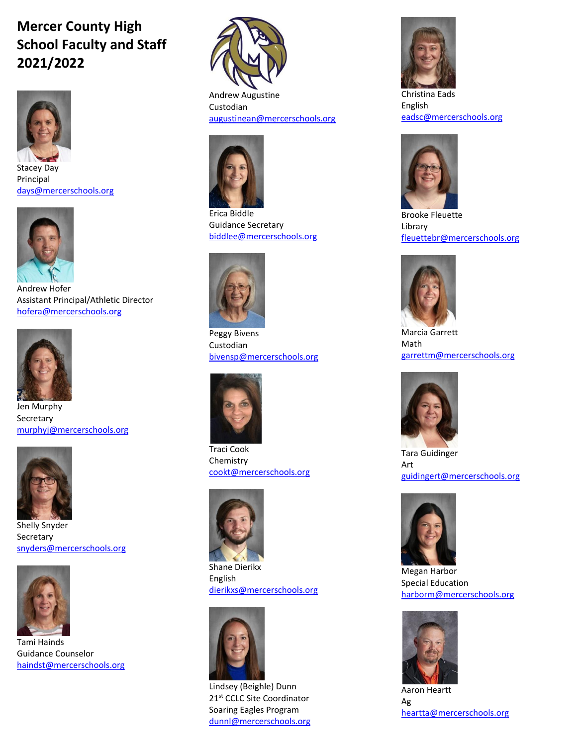## **Mercer County High School Faculty and Staff 2021/2022**



Stacey Day Principal [days@mercerschools.org](mailto:days@mercerschools.org)



Andrew Hofer Assistant Principal/Athletic Director [hofera@mercerschools.org](mailto:hofera@mercerschools.org)



Jen Murphy **Secretary** [murphyj@mercerschools.org](mailto:murphyj@mercerschools.org)



Shelly Snyder Secretary [snyders@mercerschools.org](mailto:snyders@mercerschools.org)



Tami Hainds Guidance Counselor [haindst@mercerschools.org](mailto:haindst@mercerschools.org)



Andrew Augustine Custodian [augustinean@mercerschools.org](mailto:augustinean@mercerschools.org)



Erica Biddle Guidance Secretary [biddlee@mercerschools.org](mailto:biddlee@mercerschools.org)



Peggy Bivens Custodian [bivensp@mercerschools.org](mailto:bivensp@mercerschools.org)



Traci Cook Chemistry [cookt@mercerschools.org](mailto:cookt@mercerschools.org)



Shane Dierikx English [dierikxs@mercerschools.org](mailto:dierikxs@mercerschools.org)



Lindsey (Beighle) Dunn 21st CCLC Site Coordinator Soaring Eagles Program [dunnl@mercerschools.org](mailto:dunnl@mercerschools.org)



Christina Eads English [eadsc@mercerschools.org](mailto:eadsc@mercerschools.org)



Brooke Fleuette Library [fleuettebr@mercerschools.org](mailto:fleuettebr@mercerschools.org)



Marcia Garrett Math [garrettm@mercerschools.org](mailto:garrettm@mercerschools.org)



Tara Guidinger Art [guidingert@mercerschools.org](mailto:guidingert@mercerschools.org)



Megan Harbor Special Education [harborm@mercerschools.org](mailto:harborm@mercerschools.org)



Aaron Heartt Ag [heartta@mercerschools.org](mailto:heartta@mercerschools.org)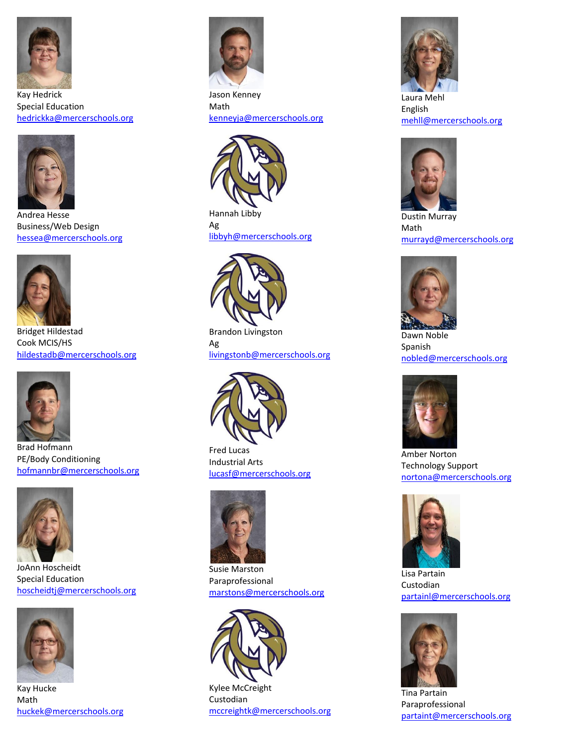

Kay Hedrick Special Education [hedrickka@mercerschools.org](mailto:hedrickka@mercerschools.org)



Andrea Hesse Business/Web Design [hessea@mercerschools.org](mailto:hessea@mercerschools.org)



Bridget Hildestad Cook MCIS/HS [hildestadb@mercerschools.org](mailto:hildestadb@mercerschools.org)



Brad Hofmann PE/Body Conditioning [hofmannbr@mercerschools.org](mailto:hofmannbr@mercerschools.org)



JoAnn Hoscheidt Special Education [hoscheidtj@mercerschools.org](mailto:hoscheidtj@mercerschools.org)



Kay Hucke Math [huckek@mercerschools.org](mailto:huckek@mercerschools.org)



Jason Kenney Math [kenneyja@mercerschools.org](mailto:kenneyja@mercerschools.org)



Hannah Libby Ag [libbyh@mercerschools.org](mailto:libbyh@mercerschools.org)



Brandon Livingston Ag [livingstonb@mercerschools.org](mailto:livingstonb@mercerschools.org)



Fred Lucas Industrial Arts [lucasf@mercerschools.org](mailto:lucasf@mercerschools.org)



Susie Marston Paraprofessional [marstons@mercerschools.org](mailto:marstons@mercerschools.org)



Kylee McCreight Custodian [mccreightk@mercerschools.org](mailto:mccreightk@mercerschools.org)



Laura Mehl English [mehll@mercerschools.org](mailto:mehll@mercerschools.org)



Dustin Murray Math [murrayd@mercerschools.org](mailto:murrayd@mercerschools.org)



Dawn Noble Spanish [nobled@mercerschools.org](mailto:nobled@mercerschools.org)



Amber Norton Technology Support [nortona@mercerschools.org](mailto:nortona@mercerschools.org)



Lisa Partain Custodian [partainl@mercerschools.org](mailto:partainl@mercerschools.org)



Tina Partain Paraprofessional [partaint@mercerschools.org](mailto:partaint@mercerschools.org)